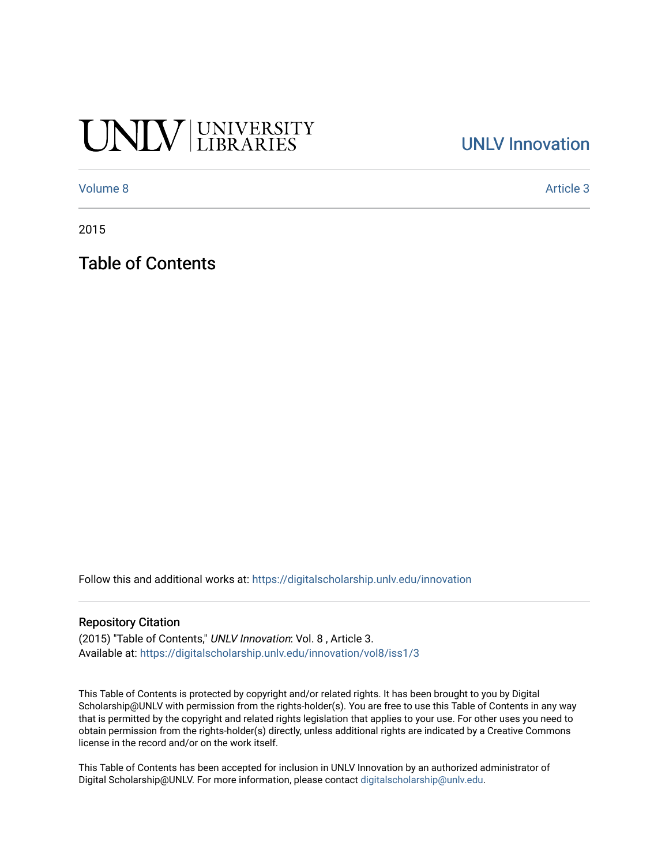# UNIV UNIVERSITY

### [UNLV Innovation](https://digitalscholarship.unlv.edu/innovation)

[Volume 8](https://digitalscholarship.unlv.edu/innovation/vol8) Article 3

2015

Table of Contents

Follow this and additional works at: [https://digitalscholarship.unlv.edu/innovation](https://digitalscholarship.unlv.edu/innovation?utm_source=digitalscholarship.unlv.edu%2Finnovation%2Fvol8%2Fiss1%2F3&utm_medium=PDF&utm_campaign=PDFCoverPages) 

#### Repository Citation

(2015) "Table of Contents," UNLV Innovation: Vol. 8 , Article 3. Available at: [https://digitalscholarship.unlv.edu/innovation/vol8/iss1/3](https://digitalscholarship.unlv.edu/innovation/vol8/iss1/3?utm_source=digitalscholarship.unlv.edu%2Finnovation%2Fvol8%2Fiss1%2F3&utm_medium=PDF&utm_campaign=PDFCoverPages) 

This Table of Contents is protected by copyright and/or related rights. It has been brought to you by Digital Scholarship@UNLV with permission from the rights-holder(s). You are free to use this Table of Contents in any way that is permitted by the copyright and related rights legislation that applies to your use. For other uses you need to obtain permission from the rights-holder(s) directly, unless additional rights are indicated by a Creative Commons license in the record and/or on the work itself.

This Table of Contents has been accepted for inclusion in UNLV Innovation by an authorized administrator of Digital Scholarship@UNLV. For more information, please contact [digitalscholarship@unlv.edu](mailto:digitalscholarship@unlv.edu).